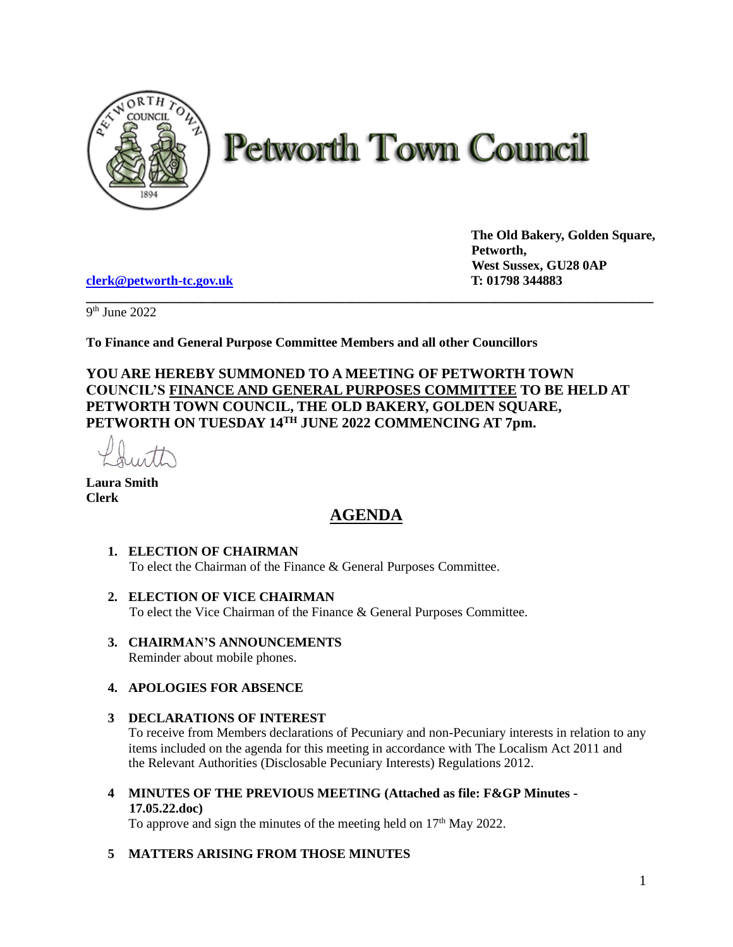

# **Petworth Town Council**

**The Old Bakery, Golden Square, Petworth, West Sussex, GU28 0AP** 

**[clerk@petworth-tc.gov.uk](mailto:clerk@petworth-tc.gov.uk) T: 01798 344883**

9<sup>th</sup> June 2022

**To Finance and General Purpose Committee Members and all other Councillors**

**YOU ARE HEREBY SUMMONED TO A MEETING OF PETWORTH TOWN COUNCIL'S FINANCE AND GENERAL PURPOSES COMMITTEE TO BE HELD AT PETWORTH TOWN COUNCIL, THE OLD BAKERY, GOLDEN SQUARE, PETWORTH ON TUESDAY 14 TH JUNE 2022 COMMENCING AT 7pm.**

**\_\_\_\_\_\_\_\_\_\_\_\_\_\_\_\_\_\_\_\_\_\_\_\_\_\_\_\_\_\_\_\_\_\_\_\_\_\_\_\_\_\_\_\_\_\_\_\_\_\_\_\_\_\_\_\_\_\_\_\_\_\_\_\_\_\_\_\_\_\_\_\_\_\_\_\_\_\_\_**

**Laura Smith Clerk**

# **AGENDA**

### **1. ELECTION OF CHAIRMAN**

To elect the Chairman of the Finance & General Purposes Committee.

### **2. ELECTION OF VICE CHAIRMAN**

To elect the Vice Chairman of the Finance & General Purposes Committee.

**3. CHAIRMAN'S ANNOUNCEMENTS** Reminder about mobile phones.

### **4. APOLOGIES FOR ABSENCE**

#### **3 DECLARATIONS OF INTEREST**

To receive from Members declarations of Pecuniary and non-Pecuniary interests in relation to any items included on the agenda for this meeting in accordance with The Localism Act 2011 and the Relevant Authorities (Disclosable Pecuniary Interests) Regulations 2012.

**4 MINUTES OF THE PREVIOUS MEETING (Attached as file: F&GP Minutes - 17.05.22.doc)**

To approve and sign the minutes of the meeting held on  $17<sup>th</sup>$  May 2022.

#### **5 MATTERS ARISING FROM THOSE MINUTES**